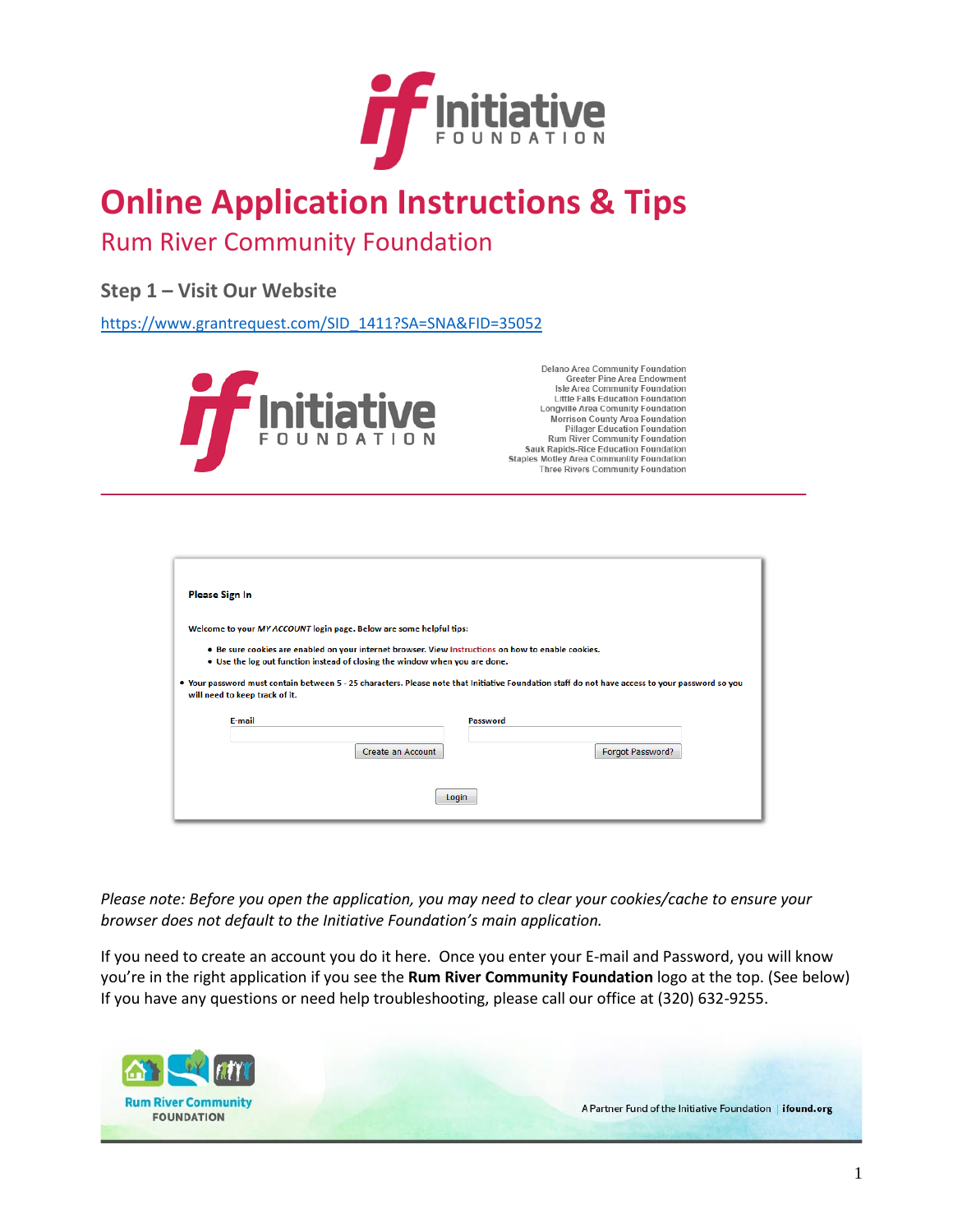

# **Online Application Instructions & Tips**

## Rum River Community Foundation

### **Step 1 – Visit Our Website**

https://www.grantrequest.com/SID\_1411?SA=SNA&FID=35052



Delano Area Community Foundation<br>Greater Pine Area Endowment Isle Area Community Foundation Little Falls Education Foundation Longville Area Comunity Foundation Morrison County Area Foundation **Pillager Education Foundation** Rum River Community Foundation<br>Sauk Rapids-Rice Education Foundation Staples Motley Area Communiity Foundation<br>Three Rivers Community Foundation

| <b>Please Sign In</b>                                                                                                                                                              |                   |                  |  |  |  |  |
|------------------------------------------------------------------------------------------------------------------------------------------------------------------------------------|-------------------|------------------|--|--|--|--|
| Welcome to your MY ACCOUNT login page. Below are some helpful tips:                                                                                                                |                   |                  |  |  |  |  |
| . Be sure cookies are enabled on your internet browser. View Instructions on how to enable cookies.<br>. Use the log out function instead of closing the window when you are done. |                   |                  |  |  |  |  |
| . Your password must contain between 5 - 25 characters. Please note that Initiative Foundation staff do not have access to your password so you<br>will need to keep track of it.  |                   |                  |  |  |  |  |
| E-mail                                                                                                                                                                             | Password          |                  |  |  |  |  |
|                                                                                                                                                                                    | Create an Account | Forgot Password? |  |  |  |  |
| Login                                                                                                                                                                              |                   |                  |  |  |  |  |

*Please note: Before you open the application, you may need to clear your cookies/cache to ensure your browser does not default to the Initiative Foundation's main application.* 

If you need to create an account you do it here. Once you enter your E-mail and Password, you will know you're in the right application if you see the **Rum River Community Foundation** logo at the top. (See below) If you have any questions or need help troubleshooting, please call our office at (320) 632-9255.

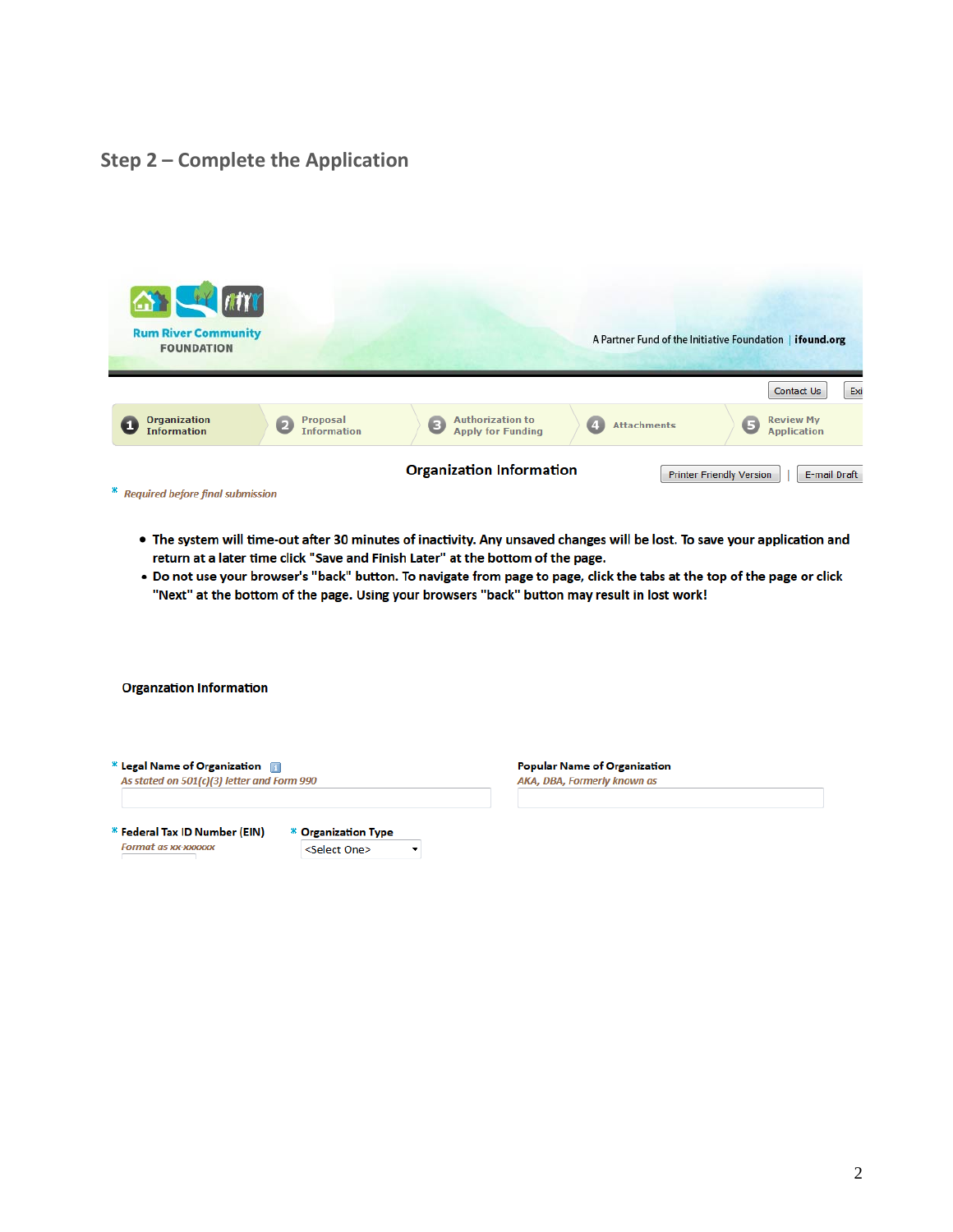### Step 2 - Complete the Application



- . The system will time-out after 30 minutes of inactivity. Any unsaved changes will be lost. To save your application and return at a later time click "Save and Finish Later" at the bottom of the page.
- . Do not use your browser's "back" button. To navigate from page to page, click the tabs at the top of the page or click "Next" at the bottom of the page. Using your browsers "back" button may result in lost work!

**Organzation Information** 

| $*$ Legal Name of Organization $\blacksquare$ |
|-----------------------------------------------|
| As stated on 501(c)(3) letter and Form 990    |
|                                               |

\* Federal Tax ID Number (EIN) **Format as xx-xxxxxx** 

\* Organization Type <Select One>  $\overline{\phantom{a}}$  **Popular Name of Organization** AKA, DBA, Formerly known as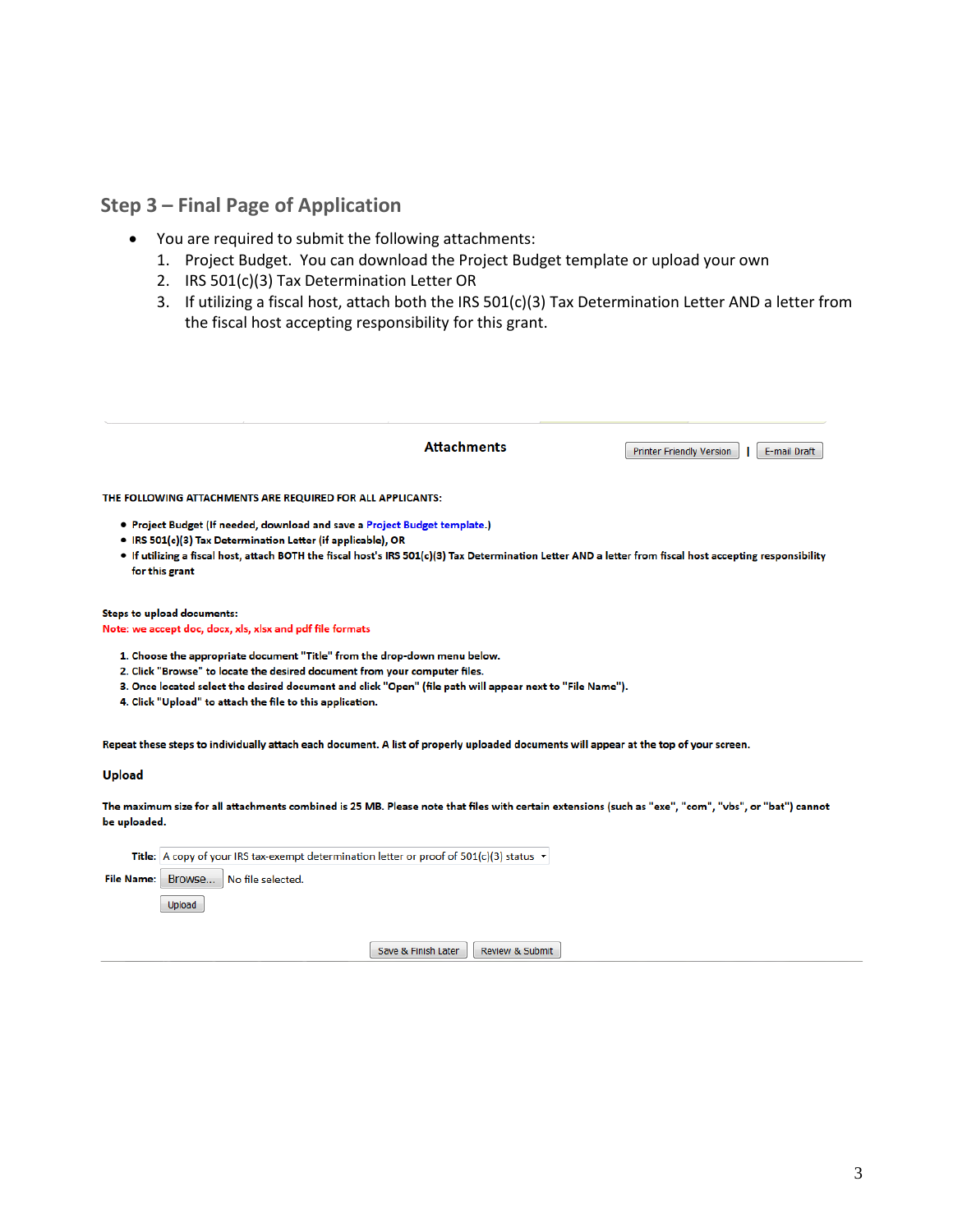### **Step 3 – Final Page of Application**

- You are required to submit the following attachments:
	- 1. Project Budget. You can download the Project Budget template or upload your own
	- 2. IRS 501(c)(3) Tax Determination Letter OR
	- 3. If utilizing a fiscal host, attach both the IRS 501(c)(3) Tax Determination Letter AND a letter from the fiscal host accepting responsibility for this grant.

|                                                                                                                                                                                                                                                                                                                           | <b>Attachments</b>                                                                                                                                    | <b>Printer Friendly Version</b><br>E-mail Draft |  |  |  |  |
|---------------------------------------------------------------------------------------------------------------------------------------------------------------------------------------------------------------------------------------------------------------------------------------------------------------------------|-------------------------------------------------------------------------------------------------------------------------------------------------------|-------------------------------------------------|--|--|--|--|
| THE FOLLOWING ATTACHMENTS ARE REQUIRED FOR ALL APPLICANTS:                                                                                                                                                                                                                                                                |                                                                                                                                                       |                                                 |  |  |  |  |
| • Project Budget (If needed, download and save a Project Budget template.)<br>• IRS 501(c)(3) Tax Determination Letter (if applicable), OR<br>. If utilizing a fiscal host, attach BOTH the fiscal host's IRS 501(c)(3) Tax Determination Letter AND a letter from fiscal host accepting responsibility<br>for this grant |                                                                                                                                                       |                                                 |  |  |  |  |
| <b>Steps to upload documents:</b><br>Note: we accept doc, docx, xls, xlsx and pdf file formats                                                                                                                                                                                                                            |                                                                                                                                                       |                                                 |  |  |  |  |
| 1. Choose the appropriate document "Title" from the drop-down menu below.<br>2. Click "Browse" to locate the desired document from your computer files.<br>4. Click "Upload" to attach the file to this application.                                                                                                      | 3. Once located select the desired document and click "Open" (file path will appear next to "File Name").                                             |                                                 |  |  |  |  |
|                                                                                                                                                                                                                                                                                                                           | Repeat these steps to individually attach each document. A list of properly uploaded documents will appear at the top of your screen.                 |                                                 |  |  |  |  |
| <b>Upload</b>                                                                                                                                                                                                                                                                                                             |                                                                                                                                                       |                                                 |  |  |  |  |
|                                                                                                                                                                                                                                                                                                                           | The maximum size for all attachments combined is 25 MB. Please note that files with certain extensions (such as "exe", "com", "vbs", or "bat") cannot |                                                 |  |  |  |  |

be uploaded.

Title: A copy of your IRS tax-exempt determination letter or proof of  $501(c)(3)$  status  $\sim$ 

File Name: Browse... No file selected.

Upload

Save & Finish Later Review & Submit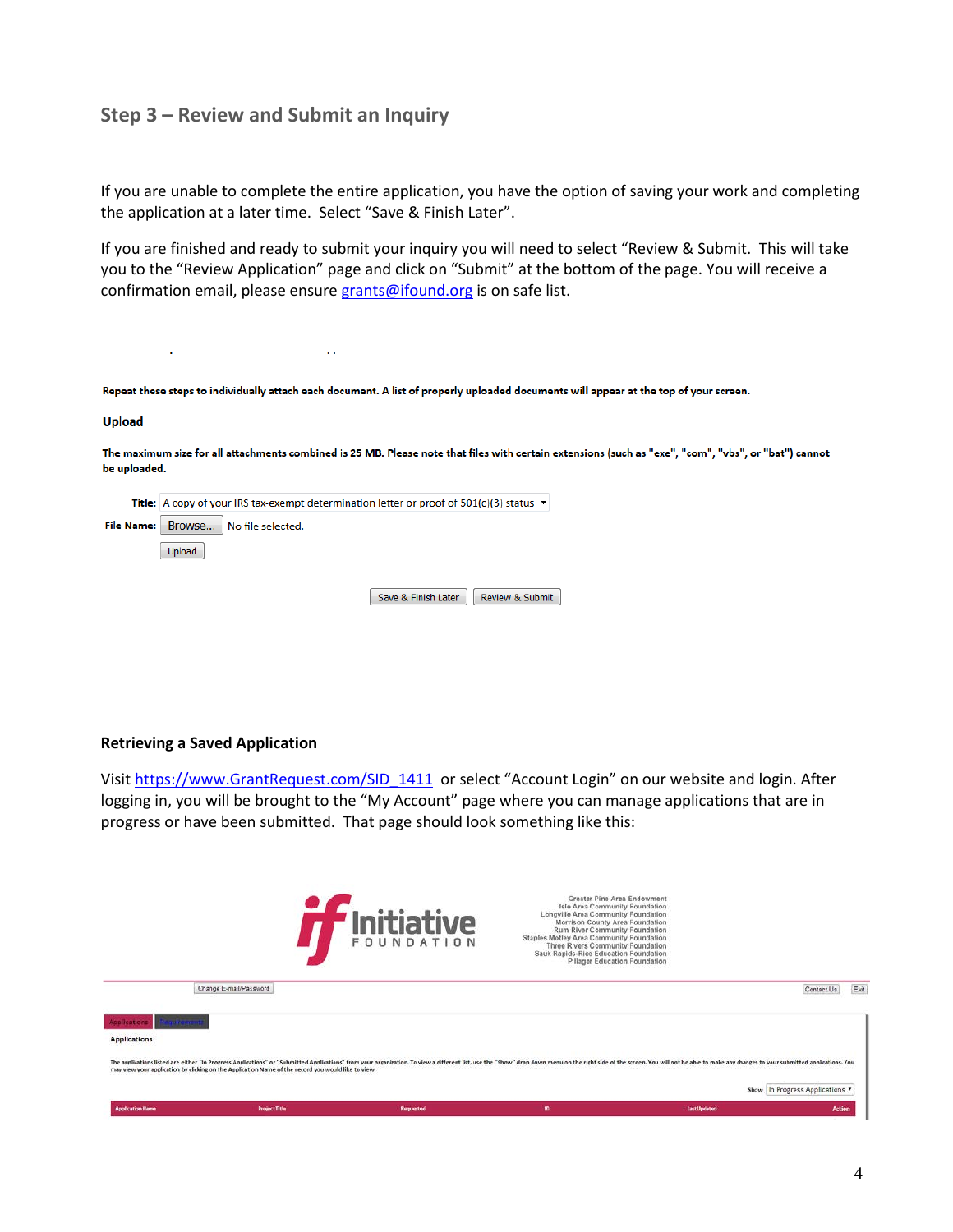### **Step 3 – Review and Submit an Inquiry**

If you are unable to complete the entire application, you have the option of saving your work and completing the application at a later time. Select "Save & Finish Later".

If you are finished and ready to submit your inquiry you will need to select "Review & Submit. This will take you to the "Review Application" page and click on "Submit" at the bottom of the page. You will receive a confirmation email, please ensure [grants@ifound.org](mailto:grants@ifound.org) is on safe list.

Repeat these steps to individually attach each document. A list of properly uploaded documents will appear at the top of your screen.

#### **Upload**

÷.

The maximum size for all attachments combined is 25 MB. Please note that files with certain extensions (such as "exe", "com", "vbs", or "bat") cannot be uploaded.

| <b>Title:</b> A copy of your IRS tax-exempt determination letter or proof of $501(c)(3)$ status $\blacktriangleright$ |                     |                 |  |  |  |
|-----------------------------------------------------------------------------------------------------------------------|---------------------|-----------------|--|--|--|
| File Name: Browse No file selected.                                                                                   |                     |                 |  |  |  |
| Upload                                                                                                                |                     |                 |  |  |  |
|                                                                                                                       |                     |                 |  |  |  |
|                                                                                                                       | Save & Finish Later | Review & Submit |  |  |  |

 $\ddotsc$ 

#### **Retrieving a Saved Application**

Visi[t https://www.GrantRequest.com/SID\\_1411](https://www.grantrequest.com/SID_1411) or select "Account Login" on our website and login. After logging in, you will be brought to the "My Account" page where you can manage applications that are in progress or have been submitted. That page should look something like this: